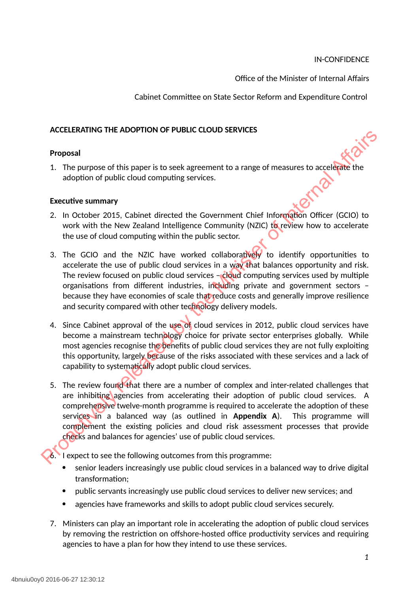Office of the Minister of Internal Affairs

Cabinet Committee on State Sector Reform and Expenditure Control

#### **ACCELERATING THE ADOPTION OF PUBLIC CLOUD SERVICES**

#### **Proposal**

1. The purpose of this paper is to seek agreement to a range of measures to accelerate the adoption of public cloud computing services.

#### **Executive summary**

- 2. In October 2015, Cabinet directed the Government Chief Information Officer (GCIO) to work with the New Zealand Intelligence Community (NZIC) to review how to accelerate the use of cloud computing within the public sector.
- 3. The GCIO and the NZIC have worked collaboratively to identify opportunities to accelerate the use of public cloud services in a way that balances opportunity and risk. The review focused on public cloud services – cloud computing services used by multiple organisations from different industries, including private and government sectors – because they have economies of scale that reduce costs and generally improve resilience and security compared with other technology delivery models.
- 4. Since Cabinet approval of the use of cloud services in 2012, public cloud services have become a mainstream technology choice for private sector enterprises globally. While most agencies recognise the benefits of public cloud services they are not fully exploiting this opportunity, largely because of the risks associated with these services and a lack of capability to systematically adopt public cloud services.
- 5. The review found that there are a number of complex and inter-related challenges that are inhibiting agencies from accelerating their adoption of public cloud services. A comprehensive twelve-month programme is required to accelerate the adoption of these services in a balanced way (as outlined in **Appendix A**). This programme will complement the existing policies and cloud risk assessment processes that provide checks and balances for agencies' use of public cloud services. **Proposal**<br> **Proposal**<br> **Exercitive summary**<br> **Exercitive summary**<br> **Exercitive summary**<br> **Exercitive summary**<br> **Exercitive summary**<br> **Exercitive summary**<br> **Exercitive summary**<br> **Exercitive summary**<br> **Exercitive summary**<br>

6. I expect to see the following outcomes from this programme:

- senior leaders increasingly use public cloud services in a balanced way to drive digital transformation;
- public servants increasingly use public cloud services to deliver new services; and
- agencies have frameworks and skills to adopt public cloud services securely.
- 7. Ministers can play an important role in accelerating the adoption of public cloud services by removing the restriction on offshore-hosted office productivity services and requiring agencies to have a plan for how they intend to use these services.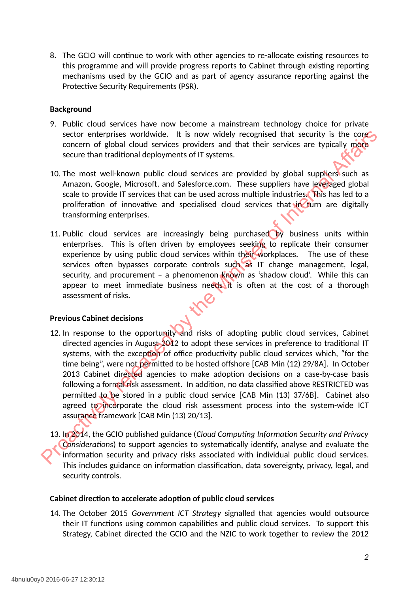8. The GCIO will continue to work with other agencies to re-allocate existing resources to this programme and will provide progress reports to Cabinet through existing reporting mechanisms used by the GCIO and as part of agency assurance reporting against the Protective Security Requirements (PSR).

#### **Background**

- 9. Public cloud services have now become a mainstream technology choice for private sector enterprises worldwide. It is now widely recognised that security is the core concern of global cloud services providers and that their services are typically more secure than traditional deployments of IT systems.
- 10. The most well-known public cloud services are provided by global suppliers such as Amazon, Google, Microsoft, and Salesforce.com. These suppliers have leveraged global scale to provide IT services that can be used across multiple industries. This has led to a proliferation of innovative and specialised cloud services that  $\frac{1}{10}$  turn are digitally transforming enterprises.
- 11. Public cloud services are increasingly being purchased by business units within enterprises. This is often driven by employees seeking to replicate their consumer experience by using public cloud services within their workplaces. The use of these services often bypasses corporate controls such as IT change management, legal, security, and procurement – a phenomenon known as 'shadow cloud'. While this can appear to meet immediate business needs it is often at the cost of a thorough assessment of risks.

#### **Previous Cabinet decisions**

- 12. In response to the opportunity and risks of adopting public cloud services, Cabinet directed agencies in August 2012 to adopt these services in preference to traditional IT systems, with the exception of office productivity public cloud services which, "for the time being", were not permitted to be hosted offshore [CAB Min (12) 29/8A]. In October 2013 Cabinet directed agencies to make adoption decisions on a case-by-case basis following a formal risk assessment. In addition, no data classified above RESTRICTED was permitted to be stored in a public cloud service [CAB Min (13) 37/6B]. Cabinet also agreed to incorporate the cloud risk assessment process into the system-wide ICT assurance framework [CAB Min (13) 20/13]. sector enterprises worldwide. It is now widely recognised that security is the conserver of global scholars and that their services are typically more secure than tarditional deployments of IT systems.<br>
10. The most well-k
	- 13. In 2014, the GCIO published guidance (*Cloud Computing Information Security and Privacy Considerations*) to support agencies to systematically identify, analyse and evaluate the information security and privacy risks associated with individual public cloud services. This includes guidance on information classification, data sovereignty, privacy, legal, and security controls.

#### **Cabinet direction to accelerate adoption of public cloud services**

14. The October 2015 *Government ICT Strategy* signalled that agencies would outsource their IT functions using common capabilities and public cloud services. To support this Strategy, Cabinet directed the GCIO and the NZIC to work together to review the 2012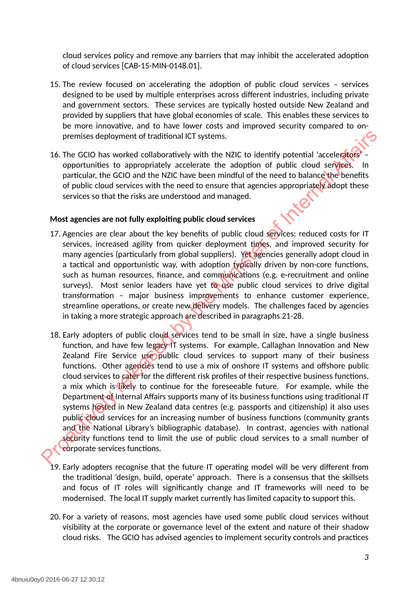cloud services policy and remove any barriers that may inhibit the accelerated adoption of cloud services [CAB-15-MIN-0148.01].

- 15. The review focused on accelerating the adoption of public cloud services services designed to be used by multiple enterprises across different industries, including private and government sectors. These services are typically hosted outside New Zealand and provided by suppliers that have global economies of scale. This enables these services to be more innovative, and to have lower costs and improved security compared to onpremises deployment of traditional ICT systems.
- 16. The GCIO has worked collaboratively with the NZIC to identify potential 'accelerators' opportunities to appropriately accelerate the adoption of public cloud services. particular, the GCIO and the NZIC have been mindful of the need to balance the benefits of public cloud services with the need to ensure that agencies appropriately adopt these services so that the risks are understood and managed.

#### **Most agencies are not fully exploiting public cloud services**

- 17. Agencies are clear about the key benefits of public cloud services: reduced costs for IT services, increased agility from quicker deployment times, and improved security for many agencies (particularly from global suppliers). Yet agencies generally adopt cloud in a tactical and opportunistic way, with adoption typically driven by non-core functions, such as human resources, finance, and communications (e.g. e-recruitment and online surveys). Most senior leaders have yet to use public cloud services to drive digital transformation – major business improvements to enhance customer experience, streamline operations, or create new delivery models. The challenges faced by agencies in taking a more strategic approach are described in paragraphs 21-28.
- 18. Early adopters of public cloud services tend to be small in size, have a single business function, and have few legacy IT systems. For example, Callaghan Innovation and New Zealand Fire Service use public cloud services to support many of their business functions. Other agencies tend to use a mix of onshore IT systems and offshore public cloud services to cater for the different risk profiles of their respective business functions, a mix which is likely to continue for the foreseeable future. For example, while the Department of Internal Affairs supports many of its business functions using traditional IT systems hosted in New Zealand data centres (e.g. passports and citizenship) it also uses public cloud services for an increasing number of business functions (community grants and the National Library's bibliographic database). In contrast, agencies with national security functions tend to limit the use of public cloud services to a small number of corporate services functions. premises deployment of traditional ICT systems.<br>
16. The GCIO has worked collaboratively with the NZIC to identify potential "acceleration<br>
opportunities to apporation at probability accelerate the adoption of public cloud
	- 19. Early adopters recognise that the future IT operating model will be very different from the traditional 'design, build, operate' approach. There is a consensus that the skillsets and focus of IT roles will significantly change and IT frameworks will need to be modernised. The local IT supply market currently has limited capacity to support this.
	- 20. For a variety of reasons, most agencies have used some public cloud services without visibility at the corporate or governance level of the extent and nature of their shadow cloud risks. The GCIO has advised agencies to implement security controls and practices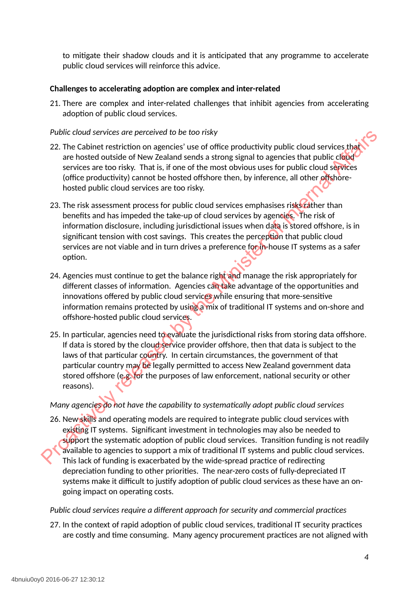to mitigate their shadow clouds and it is anticipated that any programme to accelerate public cloud services will reinforce this advice.

#### **Challenges to accelerating adoption are complex and inter-related**

<span id="page-3-0"></span>21. There are complex and inter-related challenges that inhibit agencies from accelerating adoption of public cloud services.

#### *Public cloud services are perceived to be too risky*

- 22. The Cabinet restriction on agencies' use of office productivity public cloud services that are hosted outside of New Zealand sends a strong signal to agencies that public cloud services are too risky. That is, if one of the most obvious uses for public cloud services (office productivity) cannot be hosted offshore then, by inference, all other offshorehosted public cloud services are too risky.
- 23. The risk assessment process for public cloud services emphasises risks rather than benefits and has impeded the take-up of cloud services by agencies. The risk of information disclosure, including jurisdictional issues when data is stored offshore, is in significant tension with cost savings. This creates the perception that public cloud services are not viable and in turn drives a preference for in-house IT systems as a safer option.
- 24. Agencies must continue to get the balance right and manage the risk appropriately for different classes of information. Agencies can take advantage of the opportunities and innovations offered by public cloud services while ensuring that more-sensitive information remains protected by using a mix of traditional IT systems and on-shore and offshore-hosted public cloud services.
- 25. In particular, agencies need to evaluate the jurisdictional risks from storing data offshore. If data is stored by the cloud service provider offshore, then that data is subject to the laws of that particular country. In certain circumstances, the government of that particular country may be legally permitted to access New Zealand government data stored offshore (e.g. for the purposes of law enforcement, national security or other reasons). Public cloud services are perceived to be too risky<br>
2.1. The Calibric restriction on agencies that are to discussed by the office productivity public cloud services that<br>
are hosted outside of New Zealand sends a strong

#### *Many agencies do not have the capability to systematically adopt public cloud services*

26. New skills and operating models are required to integrate public cloud services with existing IT systems. Significant investment in technologies may also be needed to support the systematic adoption of public cloud services. Transition funding is not readily available to agencies to support a mix of traditional IT systems and public cloud services. This lack of funding is exacerbated by the wide-spread practice of redirecting depreciation funding to other priorities. The near-zero costs of fully-depreciated IT systems make it difficult to justify adoption of public cloud services as these have an ongoing impact on operating costs.

#### *Public cloud services require a different approach for security and commercial practices*

27. In the context of rapid adoption of public cloud services, traditional IT security practices are costly and time consuming. Many agency procurement practices are not aligned with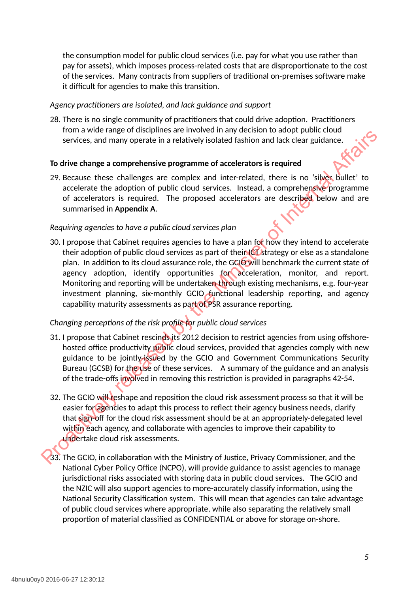the consumption model for public cloud services (i.e. pay for what you use rather than pay for assets), which imposes process-related costs that are disproportionate to the cost of the services. Many contracts from suppliers of traditional on-premises software make it difficult for agencies to make this transition.

#### *Agency practitioners are isolated, and lack guidance and support*

<span id="page-4-0"></span>28. There is no single community of practitioners that could drive adoption. Practitioners from a wide range of disciplines are involved in any decision to adopt public cloud services, and many operate in a relatively isolated fashion and lack clear guidance.

#### **To drive change a comprehensive programme of accelerators is required**

29. Because these challenges are complex and inter-related, there is no 'silver bullet' to accelerate the adoption of public cloud services. Instead, a comprehensive programme of accelerators is required. The proposed accelerators are described below and are summarised in **Appendix A**.

#### *Requiring agencies to have a public cloud services plan*

30. I propose that Cabinet requires agencies to have a plan for how they intend to accelerate their adoption of public cloud services as part of their ICT strategy or else as a standalone plan. In addition to its cloud assurance role, the GCIO will benchmark the current state of agency adoption, identify opportunities for acceleration, monitor, and report. Monitoring and reporting will be undertaken through existing mechanisms, e.g. four-year investment planning, six-monthly GCIO functional leadership reporting, and agency capability maturity assessments as part of PSR assurance reporting. From a well called the method with a structure and the minister of the Case and the Minister of the Case and the Minister of a comprehensive programme of accelerators is required.<br>To drive change a comprehensive programme

#### *Changing perceptions of the risk profile for public cloud services*

- 31. I propose that Cabinet rescinds its 2012 decision to restrict agencies from using offshorehosted office productivity public cloud services, provided that agencies comply with new guidance to be jointly-issued by the GCIO and Government Communications Security Bureau (GCSB) for the use of these services. A summary of the guidance and an analysis of the trade-offs involved in removing this restriction is provided in paragraphs 42-54.
- 32. The GCIO will reshape and reposition the cloud risk assessment process so that it will be easier for agencies to adapt this process to reflect their agency business needs, clarify that sign-off for the cloud risk assessment should be at an appropriately-delegated level within each agency, and collaborate with agencies to improve their capability to undertake cloud risk assessments.
- 33. The GCIO, in collaboration with the Ministry of Justice, Privacy Commissioner, and the National Cyber Policy Office (NCPO), will provide guidance to assist agencies to manage jurisdictional risks associated with storing data in public cloud services. The GCIO and the NZIC will also support agencies to more-accurately classify information, using the National Security Classification system. This will mean that agencies can take advantage of public cloud services where appropriate, while also separating the relatively small proportion of material classified as CONFIDENTIAL or above for storage on-shore.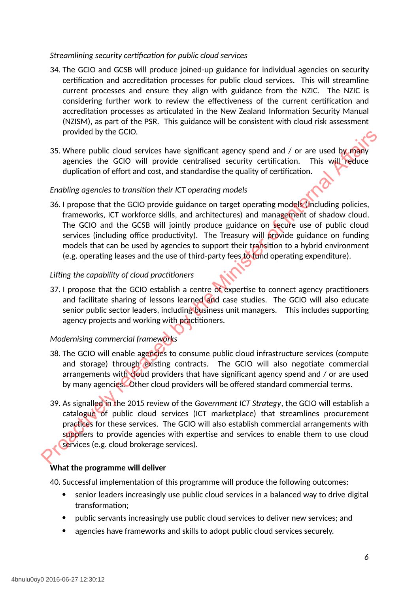#### *Streamlining security certification for public cloud services*

- 34. The GCIO and GCSB will produce joined-up guidance for individual agencies on security certification and accreditation processes for public cloud services. This will streamline current processes and ensure they align with guidance from the NZIC. The NZIC is considering further work to review the effectiveness of the current certification and accreditation processes as articulated in the New Zealand Information Security Manual (NZISM), as part of the PSR. This guidance will be consistent with cloud risk assessment provided by the GCIO.
- 35. Where public cloud services have significant agency spend and / or are used by many agencies the GCIO will provide centralised security certification. This will reduce duplication of effort and cost, and standardise the quality of certification.

#### *Enabling agencies to transition their ICT operating models*

36. I propose that the GCIO provide guidance on target operating models (including policies, frameworks, ICT workforce skills, and architectures) and management of shadow cloud. The GCIO and the GCSB will jointly produce guidance on secure use of public cloud services (including office productivity). The Treasury will provide guidance on funding models that can be used by agencies to support their transition to a hybrid environment (e.g. operating leases and the use of third-party fees to fund operating expenditure). provided by the GClO.<br>
35. Where public cloud services have significant agency spend and / or are used by raphy<br>
agencies the GClO will provide centralised security certification. This will reduce<br>
Enabling agencies to tra

#### *Lifting the capability of cloud practitioners*

37. I propose that the GCIO establish a centre of expertise to connect agency practitioners and facilitate sharing of lessons learned and case studies. The GCIO will also educate senior public sector leaders, including business unit managers. This includes supporting agency projects and working with practitioners.

#### *Modernising commercial frameworks*

- 38. The GCIO will enable agencies to consume public cloud infrastructure services (compute and storage) through existing contracts. The GCIO will also negotiate commercial arrangements with cloud providers that have significant agency spend and / or are used by many agencies. Other cloud providers will be offered standard commercial terms.
- 39. As signalled in the 2015 review of the *Government ICT Strategy*, the GCIO will establish a catalogue of public cloud services (ICT marketplace) that streamlines procurement practices for these services. The GCIO will also establish commercial arrangements with suppliers to provide agencies with expertise and services to enable them to use cloud services (e.g. cloud brokerage services).

#### **What the programme will deliver**

40. Successful implementation of this programme will produce the following outcomes:

- senior leaders increasingly use public cloud services in a balanced way to drive digital transformation;
- public servants increasingly use public cloud services to deliver new services; and
- agencies have frameworks and skills to adopt public cloud services securely.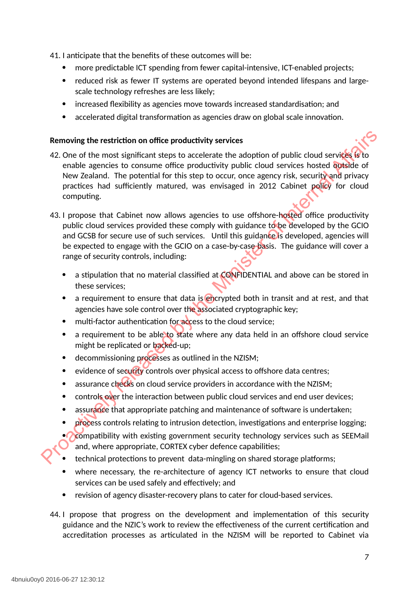41. I anticipate that the benefits of these outcomes will be:

- more predictable ICT spending from fewer capital-intensive, ICT-enabled projects;
- reduced risk as fewer IT systems are operated beyond intended lifespans and largescale technology refreshes are less likely;
- increased flexibility as agencies move towards increased standardisation; and
- accelerated digital transformation as agencies draw on global scale innovation.

#### **Removing the restriction on office productivity services**

- 42. One of the most significant steps to accelerate the adoption of public cloud services is to enable agencies to consume office productivity public cloud services hosted outside of New Zealand. The potential for this step to occur, once agency risk, security and privacy practices had sufficiently matured, was envisaged in 2012 Cabinet policy for cloud computing.
- 43. I propose that Cabinet now allows agencies to use offshore-hosted office productivity public cloud services provided these comply with guidance to be developed by the GCIO and GCSB for secure use of such services. Until this guidance is developed, agencies will be expected to engage with the GCIO on a case-by-case basis. The guidance will cover a range of security controls, including: Removing the restriction on office productivity services<br>
42. One of the most significant steps to accelerate the adoption of public cloud services for<br>
crabic agontos to consume office productivity public cloud services
	- a stipulation that no material classified at CONFIDENTIAL and above can be stored in these services;
	- a requirement to ensure that data is encrypted both in transit and at rest, and that agencies have sole control over the associated cryptographic key;
	- multi-factor authentication for access to the cloud service:
	- a requirement to be able to state where any data held in an offshore cloud service might be replicated or backed-up;
	- decommissioning processes as outlined in the NZISM;
	- evidence of security controls over physical access to offshore data centres;
	- assurance checks on cloud service providers in accordance with the NZISM;
	- controls over the interaction between public cloud services and end user devices;
	- assurance that appropriate patching and maintenance of software is undertaken;
	- process controls relating to intrusion detection, investigations and enterprise logging;
	- compatibility with existing government security technology services such as SEEMail and, where appropriate, CORTEX cyber defence capabilities;
	- technical protections to prevent data-mingling on shared storage platforms;
	- where necessary, the re-architecture of agency ICT networks to ensure that cloud services can be used safely and effectively; and
	- revision of agency disaster-recovery plans to cater for cloud-based services.
	- 44. I propose that progress on the development and implementation of this security guidance and the NZIC's work to review the effectiveness of the current certification and accreditation processes as articulated in the NZISM will be reported to Cabinet via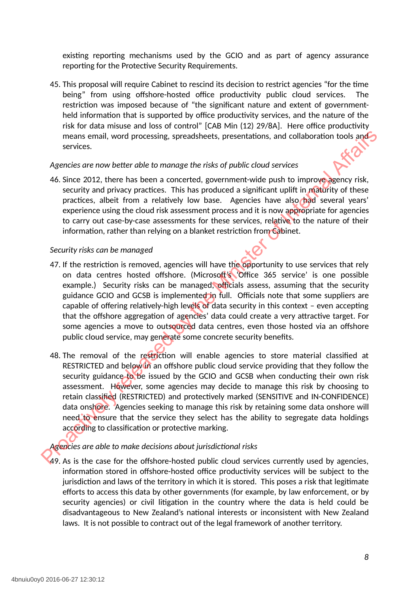existing reporting mechanisms used by the GCIO and as part of agency assurance reporting for the Protective Security Requirements.

45. This proposal will require Cabinet to rescind its decision to restrict agencies "for the time being" from using offshore-hosted office productivity public cloud services. The restriction was imposed because of "the significant nature and extent of governmentheld information that is supported by office productivity services, and the nature of the risk for data misuse and loss of control" [CAB Min (12) 29/8A]. Here office productivity means email, word processing, spreadsheets, presentations, and collaboration tools and services.

#### *Agencies are now better able to manage the risks of public cloud services*

46. Since 2012, there has been a concerted, government-wide push to improve agency risk, security and privacy practices. This has produced a significant uplift in maturity of these practices, albeit from a relatively low base. Agencies have also had several years' experience using the cloud risk assessment process and it is now appropriate for agencies to carry out case-by-case assessments for these services, relative to the nature of their information, rather than relying on a blanket restriction from Cabinet.

#### *Security risks can be managed*

- 47. If the restriction is removed, agencies will have the opportunity to use services that rely on data centres hosted offshore. (Microsoft's 'Office 365 service' is one possible example.) Security risks can be managed, officials assess, assuming that the security guidance GCIO and GCSB is implemented in full. Officials note that some suppliers are capable of offering relatively-high levels of data security in this context – even accepting that the offshore aggregation of agencies' data could create a very attractive target. For some agencies a move to outsourced data centres, even those hosted via an offshore public cloud service, may generate some concrete security benefits. means email, word processing, spreadsheets, presentations, and collaboration tools and<br>services.<br>Services are now better able to manage the risks of public cloud services<br>Agencies are now better able to manage the risks of
	- 48. The removal of the restriction will enable agencies to store material classified at RESTRICTED and below in an offshore public cloud service providing that they follow the security guidance to be issued by the GCIO and GCSB when conducting their own risk assessment. However, some agencies may decide to manage this risk by choosing to retain classified (RESTRICTED) and protectively marked (SENSITIVE and IN-CONFIDENCE) data onshore. Agencies seeking to manage this risk by retaining some data onshore will need to ensure that the service they select has the ability to segregate data holdings according to classification or protective marking.

#### *Agencies are able to make decisions about jurisdictional risks*

49. As is the case for the offshore-hosted public cloud services currently used by agencies, information stored in offshore-hosted office productivity services will be subject to the jurisdiction and laws of the territory in which it is stored. This poses a risk that legitimate efforts to access this data by other governments (for example, by law enforcement, or by security agencies) or civil litigation in the country where the data is held could be disadvantageous to New Zealand's national interests or inconsistent with New Zealand laws. It is not possible to contract out of the legal framework of another territory.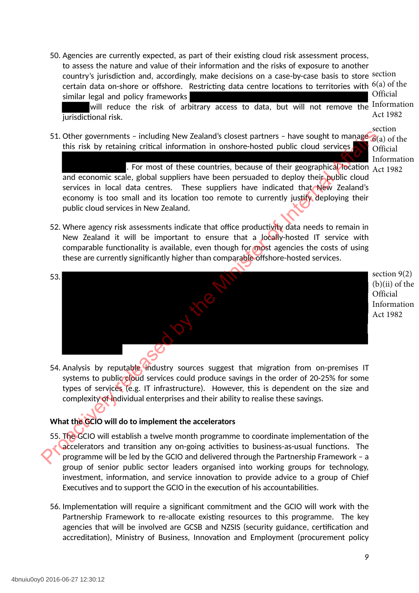50. Agencies are currently expected, as part of their existing cloud risk assessment process, to assess the nature and value of their information and the risks of exposure to another country's jurisdiction and, accordingly, make decisions on a case-by-case basis to store <sup>section</sup> certain data on-shore or offshore. Restricting data centre locations to territories with  $\rm^{6(a)}$  of the similar legal and policy frameworks Official

will reduce the risk of arbitrary access to data, but will not remove the Information jurisdictional risk. Act 1982

51. Other governments - including New Zealand's closest partners - have sought to manage this risk by retaining critical information in onshore-hosted public cloud services.

section 6(a) of the **Official** Information

. For most of these countries, because of their geographical location  $_{\rm Act\,1982}$ and economic scale, global suppliers have been persuaded to deploy their public cloud services in local data centres. These suppliers have indicated that New Zealand's economy is too small and its location too remote to currently justify deploying their public cloud services in New Zealand.

- 52. Where agency risk assessments indicate that office productivity data needs to remain in New Zealand it will be important to ensure that a locally-hosted IT service with comparable functionality is available, even though for most agencies the costs of using these are currently significantly higher than comparable offshore-hosted services.
- 53. 51. Other governments - including New Zealand's closest partners - have sought to manage of the more of these countries. Decays of their geographical inclusion of the more of the second technical actions of the more of th

section 9(2) (b)(ii) of the **Official** Information Act 1982

54. Analysis by reputable industry sources suggest that migration from on-premises IT systems to public cloud services could produce savings in the order of 20-25% for some types of services (e.g. IT infrastructure). However, this is dependent on the size and complexity of individual enterprises and their ability to realise these savings.

#### **What the GCIO will do to implement the accelerators**

- 55. The GCIO will establish a twelve month programme to coordinate implementation of the accelerators and transition any on-going activities to business-as-usual functions. The programme will be led by the GCIO and delivered through the Partnership Framework – a group of senior public sector leaders organised into working groups for technology, investment, information, and service innovation to provide advice to a group of Chief Executives and to support the GCIO in the execution of his accountabilities.
- 56. Implementation will require a significant commitment and the GCIO will work with the Partnership Framework to re-allocate existing resources to this programme. The key agencies that will be involved are GCSB and NZSIS (security guidance, certification and accreditation), Ministry of Business, Innovation and Employment (procurement policy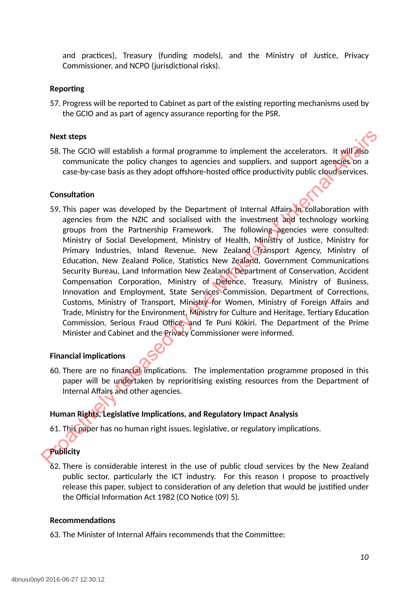and practices), Treasury (funding models), and the Ministry of Justice, Privacy Commissioner, and NCPO (jurisdictional risks).

#### **Reporting**

57. Progress will be reported to Cabinet as part of the existing reporting mechanisms used by the GCIO and as part of agency assurance reporting for the PSR.

#### **Next steps**

58. The GCIO will establish a formal programme to implement the accelerators. It will also communicate the policy changes to agencies and suppliers, and support agencies on a case-by-case basis as they adopt offshore-hosted office productivity public cloud services.

#### **Consultation**

59. This paper was developed by the Department of Internal Affairs in collaboration with agencies from the NZIC and socialised with the investment and technology working groups from the Partnership Framework. The following agencies were consulted: Ministry of Social Development, Ministry of Health, Ministry of Justice, Ministry for Primary Industries, Inland Revenue, New Zealand Transport Agency, Ministry of Education, New Zealand Police, Statistics New Zealand, Government Communications Security Bureau, Land Information New Zealand, Department of Conservation, Accident Compensation Corporation, Ministry of Defence, Treasury, Ministry of Business, Innovation and Employment, State Services Commission, Department of Corrections, Customs, Ministry of Transport, Ministry for Women, Ministry of Foreign Affairs and Trade, Ministry for the Environment, Ministry for Culture and Heritage, Tertiary Education Commission, Serious Fraud Office, and Te Puni Kōkiri. The Department of the Prime Minister and Cabinet and the Privacy Commissioner were informed. Next steps<br>
58. The GCO will establish a formal programme to implement the accelerators. It will also<br>
communicate the policy changes to agencies and suppliers, and support agencies on<br>
communicate the policy changes to ag

#### **Financial implications**

60. There are no financial implications. The implementation programme proposed in this paper will be undertaken by reprioritising existing resources from the Department of Internal Affairs and other agencies.

#### **Human Rights, Legislative Implications, and Regulatory Impact Analysis**

61. This paper has no human right issues, legislative, or regulatory implications.

### **Publicity**

62. There is considerable interest in the use of public cloud services by the New Zealand public sector, particularly the ICT industry. For this reason I propose to proactively release this paper, subject to consideration of any deletion that would be justified under the Official Information Act 1982 (CO Notice (09) 5).

#### **Recommendations**

63. The Minister of Internal Affairs recommends that the Committee: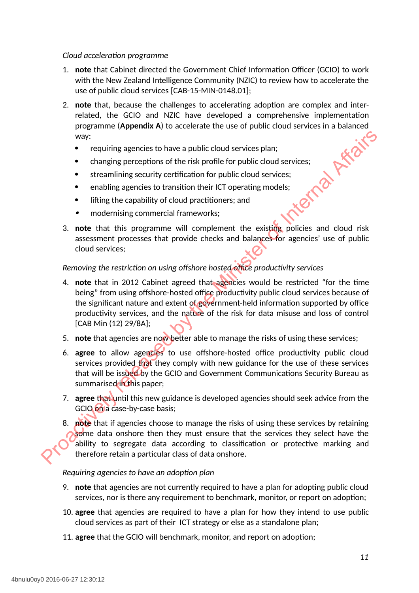#### *Cloud acceleration programme*

- 1. **note** that Cabinet directed the Government Chief Information Officer (GCIO) to work with the New Zealand Intelligence Community (NZIC) to review how to accelerate the use of public cloud services [CAB-15-MIN-0148.01];
- 2. **note** that, because the challenges to accelerating adoption are complex and interrelated, the GCIO and NZIC have developed a comprehensive implementation<br>programme (Appendix A) to accelerate the use of public cloud services in a balanced<br>way:<br>• requiring agencies to have a public cloud services plan;<br>• programme (**Appendix A**) to accelerate the use of public cloud services in a balanced way:
	- requiring agencies to have a public cloud services plan;
	- changing perceptions of the risk profile for public cloud services;
	- streamlining security certification for public cloud services;
	- enabling agencies to transition their ICT operating models;
	- lifting the capability of cloud practitioners; and
	- $\bullet$ modernising commercial frameworks;
- 3. **note** that this programme will complement the existing policies and cloud risk assessment processes that provide checks and balances for agencies' use of public cloud services;

#### *Removing the restriction on using offshore hosted office productivity services*

- 4. **note** that in 2012 Cabinet agreed that agencies would be restricted "for the time being" from using offshore-hosted office productivity public cloud services because of the significant nature and extent of government-held information supported by office productivity services, and the nature of the risk for data misuse and loss of control [CAB Min (12) 29/8A]; exay:<br>
Proquiring agencies to have a public cloud services plan;<br>
Changing perceptions of the risk profile for public cloud services;<br>
Streamlining security certification for public cloud services;<br>
enabling agencies to tr
	- 5. **note** that agencies are now better able to manage the risks of using these services;
	- 6. **agree** to allow agencies to use offshore-hosted office productivity public cloud services provided that they comply with new guidance for the use of these services that will be issued by the GCIO and Government Communications Security Bureau as summarised in this paper;
	- 7. **agree** that until this new guidance is developed agencies should seek advice from the GCIO on a case-by-case basis;
	- 8. **note** that if agencies choose to manage the risks of using these services by retaining some data onshore then they must ensure that the services they select have the ability to segregate data according to classification or protective marking and therefore retain a particular class of data onshore.

#### *Requiring agencies to have an adoption plan*

- 9. **note** that agencies are not currently required to have a plan for adopting public cloud services, nor is there any requirement to benchmark, monitor, or report on adoption;
- 10. **agree** that agencies are required to have a plan for how they intend to use public cloud services as part of their ICT strategy or else as a standalone plan;
- 11. **agree** that the GCIO will benchmark, monitor, and report on adoption;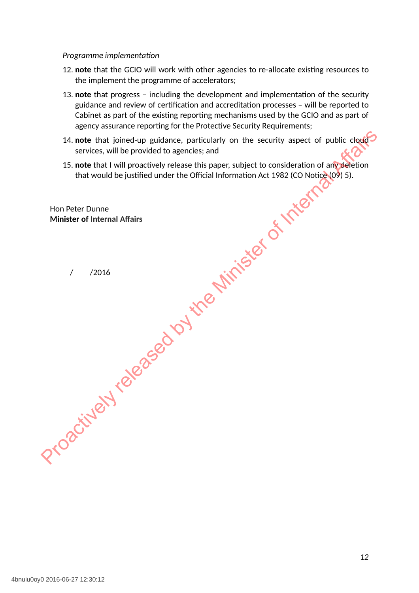#### *Programme implementation*

- 12. **note** that the GCIO will work with other agencies to re-allocate existing resources to the implement the programme of accelerators;
- 13. **note** that progress including the development and implementation of the security guidance and review of certification and accreditation processes – will be reported to Cabinet as part of the existing reporting mechanisms used by the GCIO and as part of agency assurance reporting for the Protective Security Requirements;
- 14. **note** that joined-up guidance, particularly on the security aspect of public cloud services, will be provided to agencies; and 14. note that joince up guidance, particularly on the security aspect of public clouds<br>
services, will be provided to agencies; and<br>
15. note that I will proactively release this paper, subject to consideration of any<br>
def
	- 15. **note** that I will proactively release this paper, subject to consideration of any deletion that would be justified under the Official Information Act 1982 (CO Notice (09) 5).

Hon Peter Dunne **Minister of Internal Affairs**

/ /2016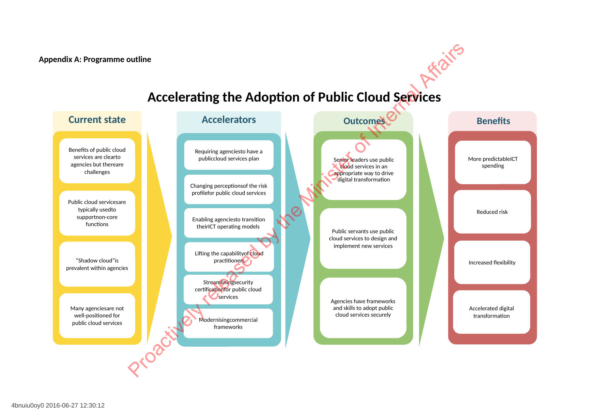**Appendix A: Programme outline**

#### **Accelerators Outcomes** "Shadow cloud"is prevalent within agencies Many agenciesare not well-positioned for public cloud services Public cloud servicesare typically usedto supportnon-core functions Benefits of public cloud services are clearto agencies but thereare challenges **Current state** Enabling agenciesto transition theirICT operating models Changing perceptionsof the risk profilefor public cloud services Requiring agenciesto have a publiccloud services plan Streamliningsecurity certificationfor public cloud **O**services Modernisingcommercial frameworks **Benefits** Senior leaders use public  $\times$  Mond services in an **Cappropriate way to drive** digital transformation Public servants use public cloud services to design and implement new services Agencies have frameworks and skills to adopt public cloud services securely Lifting the capabilityof cloud practitioners<sup>7</sup> More predictableICT spending Reduced risk Increased flexibility Accelerated digital transformation Property release to the Control of Public Cloud Services<br>
Accelerators<br>
Control of Control of Control of Control of Control of Control of Control of Control of Control of Control of Control of Control of Control of Control

## **Accelerating the Adoption of Public Cloud Services**